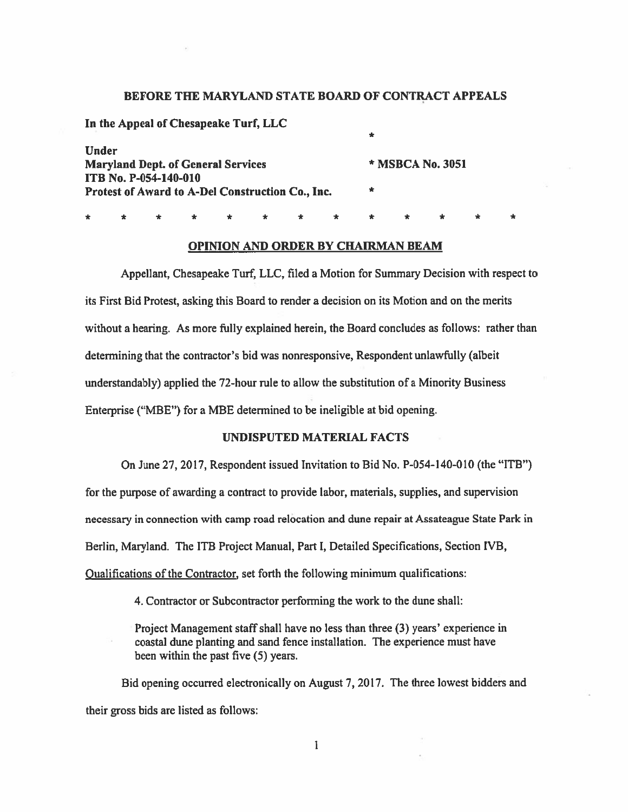## BEFORE THE MARYLAND STATE BOARD OF CONTRACT APPEALS

|                                           | In the Appeal of Chesapeake Turf, LLC            |  |  |  |  |  |               |                  |  |  |  |  |  |
|-------------------------------------------|--------------------------------------------------|--|--|--|--|--|---------------|------------------|--|--|--|--|--|
|                                           |                                                  |  |  |  |  |  |               | $\star$          |  |  |  |  |  |
| Under                                     |                                                  |  |  |  |  |  |               |                  |  |  |  |  |  |
| <b>Maryland Dept. of General Services</b> |                                                  |  |  |  |  |  |               | * MSBCA No. 3051 |  |  |  |  |  |
|                                           | <b>ITB No. P-054-140-010</b>                     |  |  |  |  |  |               |                  |  |  |  |  |  |
|                                           | Protest of Award to A-Del Construction Co., Inc. |  |  |  |  |  |               | $\ast$           |  |  |  |  |  |
|                                           |                                                  |  |  |  |  |  |               |                  |  |  |  |  |  |
|                                           |                                                  |  |  |  |  |  | * * * * * * * |                  |  |  |  |  |  |

#### OPINION AND ORDER BY CHAIRMAN BEAM

Appellant, Chesapeake Turf, LLC, filed a Motion for Summary Decision with respect to its First Bid Protest, asking this Board to render <sup>a</sup> decision on its Motion and on the merits without <sup>a</sup> hearing. As more fully explained herein, the Board concludes as follows: rather than determining that the contractor's bid was nonresponsive, Respondent unlawfully (albeit understandably) applied the 72-hour rule to allow the substitution of <sup>a</sup> Minority Business Enterprise ("MBE") for <sup>a</sup> MBE determined to be ineligible at bid opening.

# UNDISPUTED MATERIAL FACTS

On June 27, 2017, Respondent issued Invitation to Bid No. P-054-140-0I0 (the "ITB")

for the purpose of awarding <sup>a</sup> contract to provide labor, materials, supplies, and supervision necessary in connection with camp road relocation and dune repair at Assateague State Park in Berlin, Maryland. The JTB Project Manual, Part I, Detailed Specifications, Section IVB, Oualifications of the Contractor, set forth the following minimum qualifications:

4. Contractor or Subcontractor performing the work to the dune shall:

Project Management staff shall have no less than three (3) years' experience in coastal dune planting and sand fence installation. The experience must have been within the pas<sup>t</sup> five (5) years.

Bid opening occurred electronically on August 7, 2017. The three lowest bidders and their gross bids are listed as follows:

> $\mathbf{I}$ 1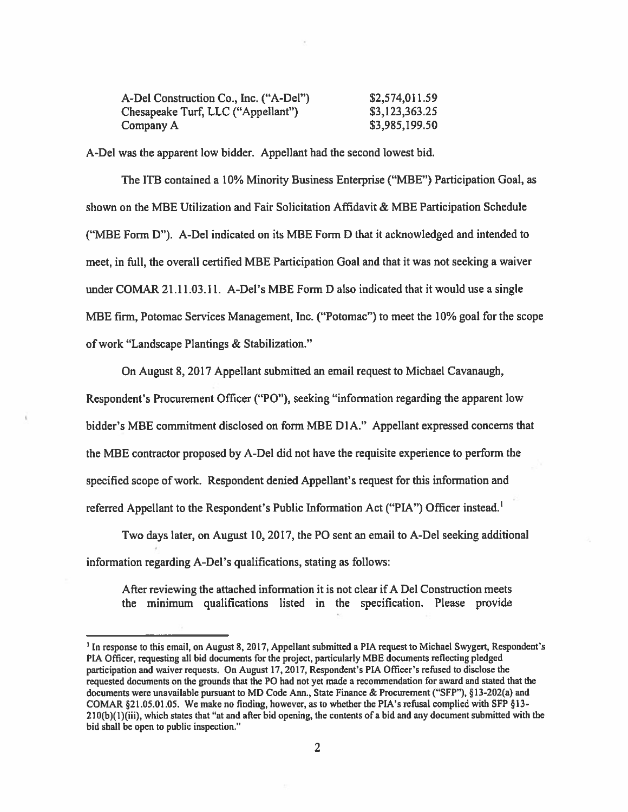| A-Del Construction Co., Inc. ("A-Del") | \$2,574,011.59 |
|----------------------------------------|----------------|
| Chesapeake Turf, LLC ("Appellant")     | \$3,123,363.25 |
| Company A                              | \$3,985,199.50 |

A-Del was the apparen<sup>t</sup> low bidder. Appellant had the second lowest bid.

The ITB contained <sup>a</sup> 10% Minority Business Enterprise ("MBE") Participation Goal, as shown on the MBE Utilization and Fair Solicitation Affidavit & MBE Participation Schedule ("MBE Form D"). A-Del indicated on its MBE Form D that it acknowledged and intended to meet, in full, the overall certified MBE Participation Goal and that it was not seeking a waiver under COMAR 21.11.03.11. A-Del's MBE Form D also indicated that it would use <sup>a</sup> single MBE firm, Potomac Services Management, Inc. ("Potomac") to meet the 10% goal for the scope of work "Landscape Plantings & Stabilization."

On August 8, 2017 Appellant submitted an email reques<sup>t</sup> to Michael Cavanaugh, Respondent's Procurement Officer ("P0"), seeking "information regarding the apparen<sup>t</sup> low bidder's MBE commitment disclosed on form MBE D1A." Appellant expressed concerns that the MBE contractor proposed by A-Del did not have the requisite experience to perform the specified scope of work. Respondent denied Appellant's reques<sup>t</sup> for this information and referred Appellant to the Respondent's Public Information Act ("PIA") Officer instead.<sup>1</sup>

Two days later, on August 10, 2017, the P0 sent an email to A-Del seeking additional information regarding A-Del's qualifications, stating as follows:

After reviewing the attached information it is not clear if A Del Construction meets the minimum qualifications listed in the specification. Please provide

<sup>&#</sup>x27;In response to this email, on August 8,2017, Appellant submitted <sup>a</sup> PIA reques<sup>t</sup> to Michael Swygert, Respondent's PIA Officer, requesting all bid documents for the project, particularly MBE documents reflecting <sup>p</sup>ledged participation and waiver requests. On August 17, 2017, Respondent's PIA Officer's refused to disclose the requested documents on the grounds that the P0 had not ye<sup>t</sup> made <sup>a</sup> recommendation for award and stated that the documents were unavailable pursuant to MD Code Ann., State Finance & Procurement ("SFP"), §13-202(a) and COMAR  $\S21.05.01.05$ . We make no finding, however, as to whether the PIA's refusal complied with SFP  $\S13$ - $210(b)(1)(iii)$ , which states that "at and after bid opening, the contents of a bid and any document submitted with the bid shall be open to public inspection."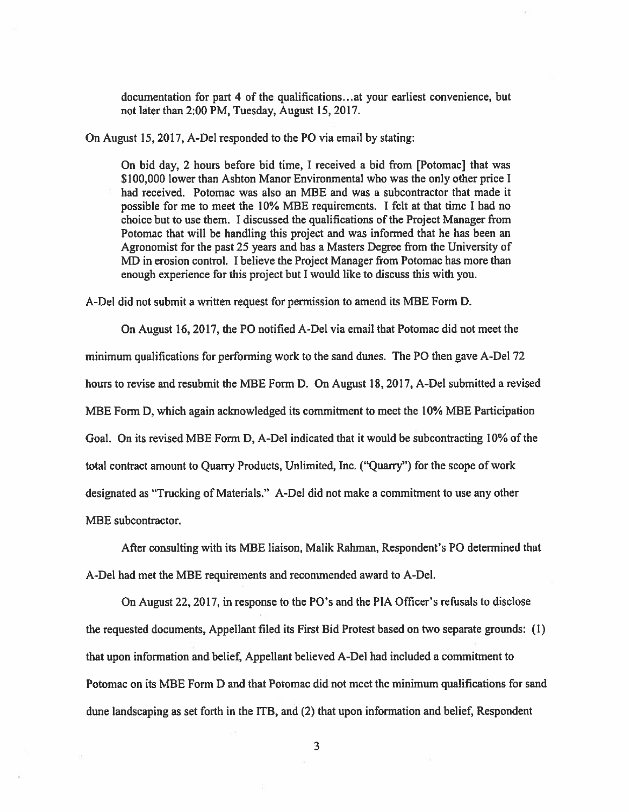documentation for par<sup>t</sup> 4 of the qualifications.. .at your earliest convenience, but not later than 2:00 PM, Tuesday, August 15, 2017.

On August 15, 2017, A-Del responded to the PO via email by stating:

On bid day, 2 hours before bid time, I received <sup>a</sup> bid from [Potomac] that was \$100,000 lower than Ashton Manor Environmental who was the only other price I had received. Potomac was also an MBE and was <sup>a</sup> subcontractor that made it possible for me to meet the 10% MBE requirements. I felt at that time I had no choice but to use them. I discussed the qualifications of the Project Manager from Potomac that will be handling this project and was informed that he has been an Agronomist for the pas<sup>t</sup> 25 years and has <sup>a</sup> Masters Degree from the University of MD in erosion control. I believe the Project Manager from Potomac has more than enough experience for this project but I would like to discuss this with you.

A-Del did not submit <sup>a</sup> written reques<sup>t</sup> for permission to amend its MBE Form D.

On August 16, 2017, the P0 notified A-Del via email that Potomac did not meet the minimum qualifications for performing work to the sand dunes. The P0 then gave A-Del 72 hours to revise and resubmit the MBE Form D. On August 18, 2017, A-Del submitted <sup>a</sup> revised MBE Form D, which again acknowledged its commitment to meet the 10% MBE Participation Goal. On its revised MBE Form D, A-Del indicated that it would be subcontracting 10% of the total contract amount to Quarry Products, Unlimited, Inc. ("Quarry") for the scope of work designated as "Trucking of Materials." A-Del did not make <sup>a</sup> commitment to use any other MBE subcontractor.

After consulting with its MBE liaison, Malik Rahman, Respondent's P0 determined that A-Del had met the MBE requirements and recommended award to A-Del.

On August 22, 2017, in response to the P0's and the PIA Officer's refusals to disclose the requested documents, Appellant filed its First Bid Protest based on two separate grounds: (1) that upon information and belief, Appellant believed A-Del had included a commitment to Potomac on its MBE Form D and that Potomac did not meet the minimum qualifications for sand dune landscaping as set forth in the  $ITB$ , and  $(2)$  that upon information and belief, Respondent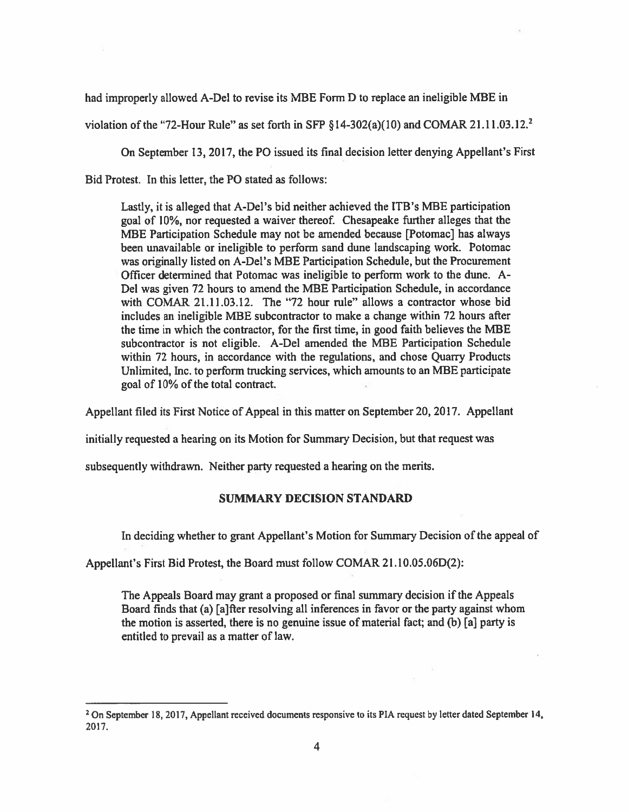had improperly allowed A-Del to revise its MBE Form D to replace an ineligible MBE in

violation of the "72-Hour Rule" as set forth in SFP  $\S$ 14-302(a)(10) and COMAR 21.11.03.12.<sup>2</sup>

On September 13, 2017, the P0 issued its final decision letter denying Appellant's First

Bid Protest. In this letter, the P0 stated as follows:

Lastly, it is alleged that A-Del's bid neither achieved the ITB's MBE participation goal of 10%, nor requested <sup>a</sup> waiver thereof. Chesapeake further alleges that the MBE Participation Schedule may not be amended because [Potomac] has always been unavailable or ineligible to perform sand dune landscaping work. Potomac was originally listed on A-Del's MBE Participation Schedule, but the Procurement Officer determined that Potomac was ineligible to perform work to the dune. A-Del was given 72 hours to amend the MBE Participation Schedule, in accordance with COMAR 21.11.03.12. The "72 hour rule" allows <sup>a</sup> contractor whose bid includes an ineligible MBE subcontractor to make <sup>a</sup> change within 72 hours after the time in which the contractor, for the first time, in good faith believes the MBE subcontractor is not eligible. A-Del amended the MBE Participation Schedule within 72 hours, in accordance with the regulations, and chose Quarry Products Unlimited, Inc. to perform trucking services, which amounts to an MBE participate goal of 10% of the total contract.

Appellant filed its First Notice of Appeal in this matter on September 20, 2017. Appellant

initially requested <sup>a</sup> hearing on its Motion for Summary Decision, but that reques<sup>t</sup> was

subsequently withdrawn. Neither party requested <sup>a</sup> hearing on the merits.

# SUMMARY DECISION STANDARD

In deciding whether to gran<sup>t</sup> Appellant's Motion for Summary Decision of the appea<sup>l</sup> of

Appellant's First Bid Protest, the Board must follow COMAR 21.10.05.06D(2):

The Appeals Board may gran<sup>t</sup> <sup>a</sup> proposed or final summary decision if the Appeals Board finds that (a) [a]fter resolving all inferences in favor or the party against whom the motion is asserted, there is no genuine issue of material fact; and (b) [a] party is entitled to prevail as <sup>a</sup> matter of law.

<sup>&</sup>lt;sup>2</sup> On September 18, 2017, Appellant received documents responsive to its PIA request by letter dated September 14, 2017.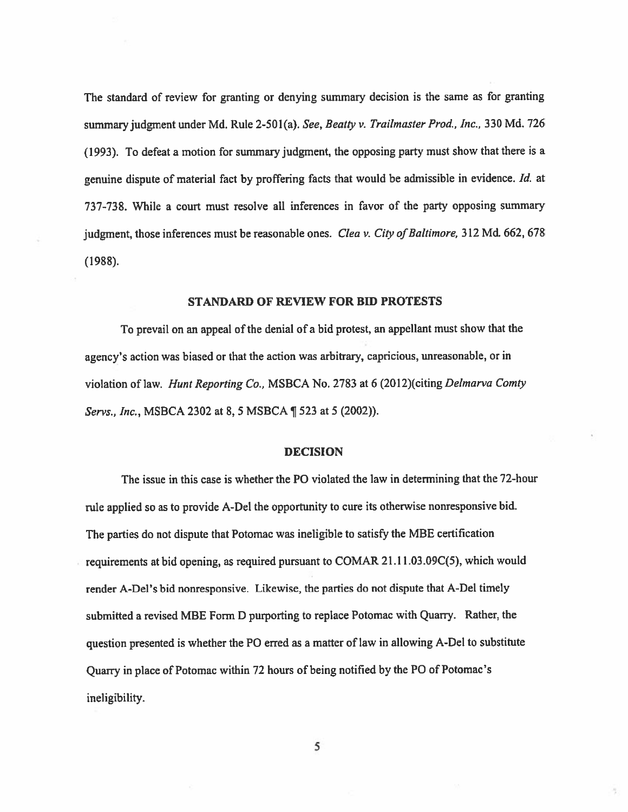The standard of review for granting or denying summary decision is the same as for granting summary judgment under Md. Rule 2-501(a). See, Beatty v. Trailmaster Prod., Inc., 330 Md. 726 (1993). To defeat <sup>a</sup> motion for summary judgment, the opposing party must show that there is <sup>a</sup> genuine dispute of material fact by proffering facts that would be admissible in evidence. Id. at 737-738. While <sup>a</sup> court must resolve all inferences in favor of the party opposing summary judgment, those inferences must be reasonable ones. Clea v. City of Baltimore, 312 Md. 662, 678 (1988).

#### STANDARD OF REVIEW FOR BID PROTESTS

To prevail on an appea<sup>l</sup> of the denial of <sup>a</sup> bid protest, an appellant must show that the agency's action was biased or that the action was arbitrary, capricious, unreasonable, or in violation of law. Hunt Reporting Co., MSBCA No. 2783 at 6 (2012)(citing Delmarva Comty Servs., Inc., MSBCA <sup>2302</sup> at 8, <sup>5</sup> MSBCA ¶ <sup>523</sup> at <sup>5</sup> (2002)).

## DECISION

The issue in this case is whether the PO violated the law in determining that the 72-hour rule applied so as to provide A-Del the opportunity to cure its otherwise nonresponsive bid. The parties do not dispute that Potomac was ineligible to satisfy the MBE certification requirements at bid opening, as required pursuan<sup>t</sup> to C0MAR 21.11.03 .09C(5), which would render A-Del's bid nonresponsive. Likewise, the parties do not dispute that A-Del timely submitted <sup>a</sup> revised MBE Form <sup>D</sup> purporting to replace Potomac with Quarry. Rather, the question presented is whether the P0 erred as <sup>a</sup> matter of law in allowing A-Del to substitute Quarry in <sup>p</sup>lace of Potomac within <sup>72</sup> hours of being notified by the P0 of Potomac's ineligibility.

5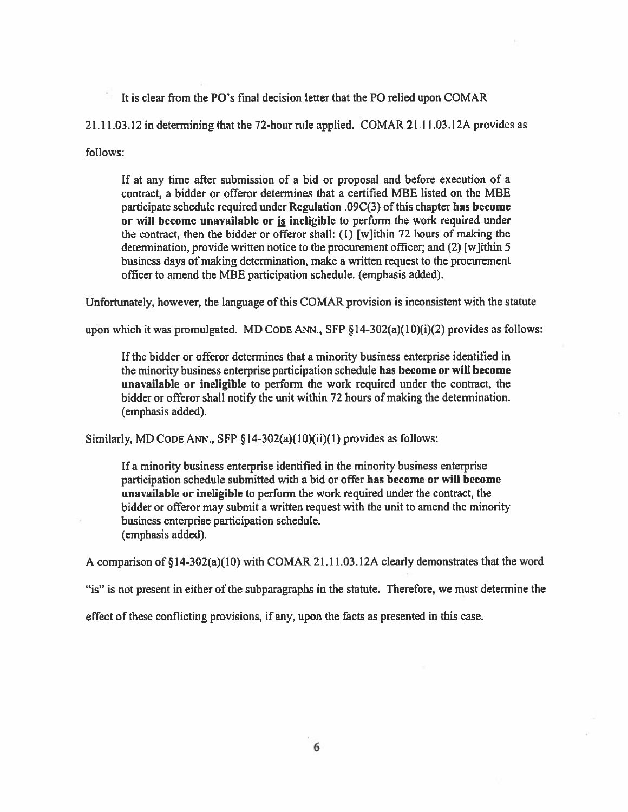It is clear from the P0's final decision letter that the P0 relied upon COMAR

 $21.11.03.12$  in determining that the 72-hour rule applied. COMAR 21.11.03.12A provides as

follows:

If at any time after submission of <sup>a</sup> bid or proposal and before execution of <sup>a</sup> contract, <sup>a</sup> bidder or offeror determines that <sup>a</sup> certified MBE listed on the MBE participate schedule required under Regulation .09 $C(3)$  of this chapter has become or will become unavailable or is ineligible to perform the work required under the contract, then the bidder or offeror shall: (I) [w]ithin 72 hours of making the determination, provide written notice to the procuremen<sup>t</sup> officer; and (2) [w]ithin 5 business days of making determination, make <sup>a</sup> written reques<sup>t</sup> to the procuremen<sup>t</sup> officer to amend the MBE participation schedule. (emphasis added).

Unfortunately, however, the language of this COMAR provision is inconsistent with the statute

upon which it was promulgated. MD CODE ANN., SFP  $\S$ 14-302(a)(10)(i)(2) provides as follows:

If the bidder or offeror determines that <sup>a</sup> minority business enterprise identified in the minority business enterprise participation schedule has become or will become unavailable or ineligible to perform the work required under the contract, the bidder or offeror shall notify the unit within 72 hours of making the determination. (emphasis added).

Similarly, MD CODE ANN., SFP  $\S14-302(a)(10)(ii)(1)$  provides as follows:

If <sup>a</sup> minority business enterprise identified in the minority business enterprise participation schedule submitted with <sup>a</sup> bid or offer has become or will become unavailable or ineligible to perform the work required under the contract, the bidder or offeror may submit <sup>a</sup> written reques<sup>t</sup> with the unit to amend the minority business enterprise participation schedule. (emphasis added).

<sup>A</sup> comparison of § l4-302(a)(1O) with COMAR 21.11.03. 12A clearly demonstrates that the word

"is" is not presen<sup>t</sup> in either of the subparagraphs in the statute. Therefore, we must determine the

effect of these conflicting provisions, if any, upon the facts as presented in this case.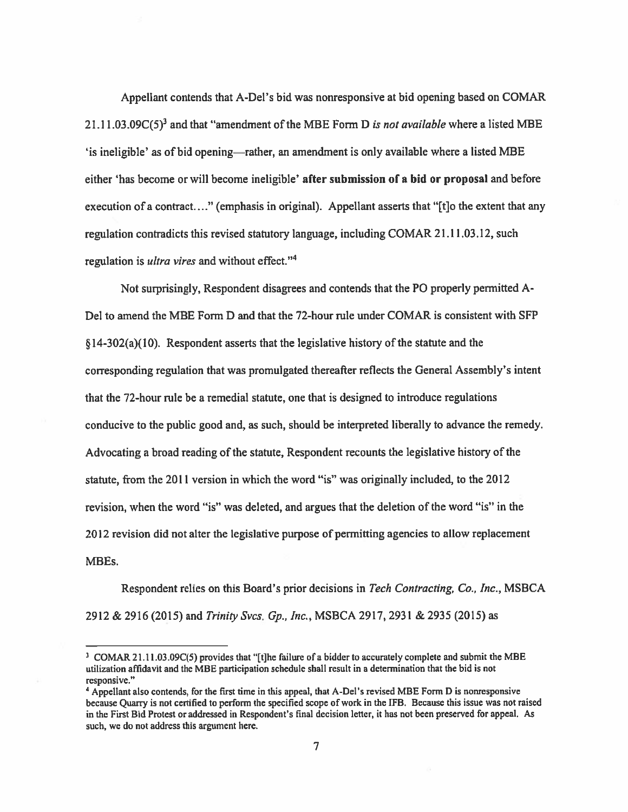Appellant contends that A-Del's bid was nonresponsive at bid opening based on COMAR 21.11.03.09 $C(5)^3$  and that "amendment of the MBE Form D is not available where a listed MBE 'is ineligible' as of bid opening—rather, an amendment is only available where <sup>a</sup> listed MBE either 'has become or will become ineligible' after submission of <sup>a</sup> bid or proposal and before execution of a contract...." (emphasis in original). Appellant asserts that "[t] o the extent that any regulation contradicts this revised statutory language, including COMAR <sup>2</sup> 1.11.03.12, such regulation is *ultra vires* and without effect."<sup>4</sup>

Not surprisingly, Respondent disagrees and contends that the P0 properly permitted A-Del to amend the MBE Form D and that the 72-hour rule under COMAR is consistent with SFP  $§$  14-302(a)(10). Respondent asserts that the legislative history of the statute and the corresponding regulation that was promulgated thereafter reflects the General Assembly's intent that the 72-hour rule be <sup>a</sup> remedial statute, one that is designed to introduce regulations conducive to the public good and, as such, should be interpreted liberally to advance the remedy. Advocating <sup>a</sup> broad reading of the statute, Respondent recounts the legislative history of the statute, from the 2011 version in which the word "is" was originally included, to the 2012 revision, when the word "is" was deleted, and argues that the deletion of the word "is" in the 2012 revision did not alter the legislative purpose of permitting agencies to allow replacement MBEs.

Respondent relies on this Board's prior decisions in Tech Contracting, Co., Inc., MSBCA 2912 & 2916 (2015) and Trinity Svcs. Gp., Inc., MSBCA 2917, 2931 & 2935 (2015) as

<sup>&</sup>lt;sup>3</sup> COMAR 21.11.03.09C(5) provides that "[t]he failure of a bidder to accurately complete and submit the MBE utilization affidavit and the MBE participation schedule shall result in <sup>a</sup> determination that the bid is not responsive."

<sup>&</sup>quot;Appellant also contends, for the first time in this appeal, that A-Del's revised MBE Form <sup>D</sup> is nonresponsive because Quarry is not certified to perform the specified scope of work in the IFB. Because this issue was not raised in the First Bid Protest or addressed in Respondent's final decision letter, it has not been preserved for appeal. As such, we do not address this argumen<sup>t</sup> here.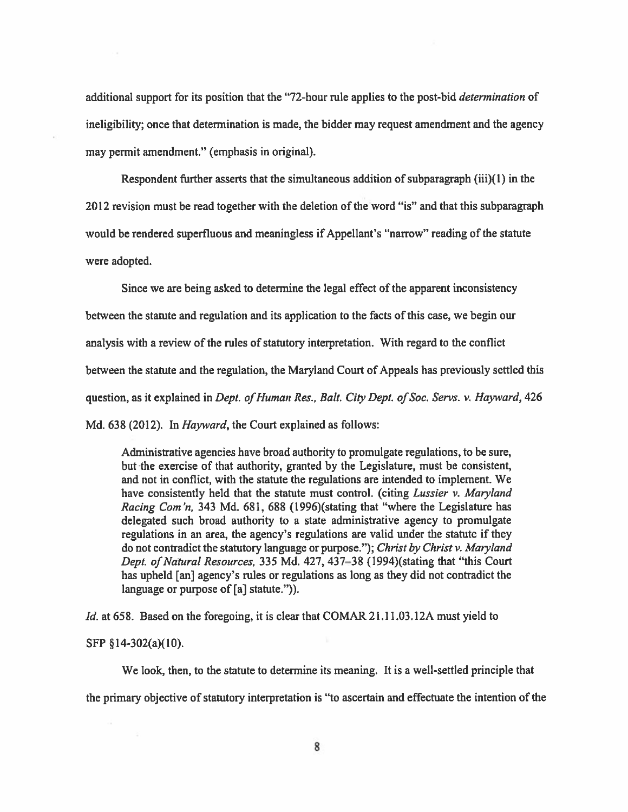additional support for its position that the "72-hour rule applies to the post-bid *determination* of ineligibility; once that determination is made, the bidder may reques<sup>t</sup> amendment and the agency may permit amendment." (emphasis in original).

Respondent further asserts that the simultaneous addition of subparagraph  $(iii)(1)$  in the 2012 revision must be read together with the deletion of the word "is" and that this subparagraph would be rendered superfluous and meaningless if Appellant's "narrow" reading of the statute were adopted.

Since we are being asked to determine the legal effect of the apparen<sup>t</sup> inconsistency between the statute and regulation and its application to the facts of this case, we begin our analysis with a review of the rules of statutory interpretation. With regard to the conflict between the statute and the regulation, the Maryland Court of Appeals has previously settled this question, as it explained in *Dept. of Human Res., Balt. City Dept. of Soc. Servs. v. Hayward*, 426 Md. 638 (2012). In *Hayward*, the Court explained as follows:

Administrative agencies have broad authority to promulgate regulations, to be sure, but the exercise of that authority, granted by the Legislature, must be consistent, and not in conflict, with the statute the regulations are intended to implement. We have consistently held that the statute must control. (citing Lussier v. Maryland Racing Com'n, 343 Md. 681, 688 (1996)(stating that "where the Legislature has delegated such broad authority to <sup>a</sup> state administrative agency to promulgate regulations in an area, the agency's regulations are valid under the statute if they do not contradict the statutory language or purpose."); Christ by Christ v. Maryland Dept. of Natural Resources, 335 Md. 427, 437-38 (1994)(stating that "this Court has upheld [an] agency's rules or regulations as long as they did not contradict the language or purpose of [a] statute.").

Id. at 658. Based on the foregoing, it is clear that COMAR 21.11.03.12A must yield to SFP §14-302(a)(10).

We look, then, to the statute to determine its meaning. It is <sup>a</sup> well-settled principle that the primary objective of statutory interpretation is "to ascertain and effectuate the intention of the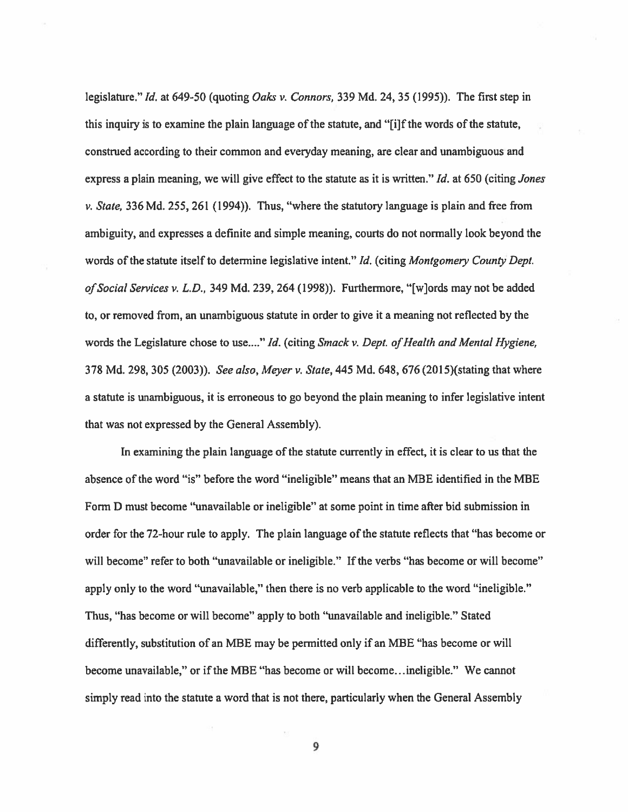legislature." Id. at 649-50 (quoting Oaks v. Connors, 339 Md. 24, 35 (1995)). The first step in this inquiry is to examine the plain language of the statute, and "[i]f the words of the statute, construed according to their common and everyday meaning, are clear and unambiguous and express a plain meaning, we will give effect to the statute as it is written." Id. at 650 (citing Jones v. State, 336 Md. 255, 261 (1994)). Thus, "where the statutory language is plain and free from ambiguity, and expresses <sup>a</sup> definite and simple meaning, courts do not normally look beyond the words of the statute itself to determine legislative intent." Id. (citing Montgomery County Dept. of Social Services v. L.D., 349 Md. 239, 264 (1998)). Furthermore, "[w]ords may not be added to, or removed from, an unambiguous statute in order to give it <sup>a</sup> meaning not reflected by the words the Legislature chose to use...." Id. (citing Smack v. Dept. of Health and Mental Hygiene, 378 Md. 298, 305 (2003)). See also, Meyer v. State, 445 Md. 648, 676 (2015)(stating that where <sup>a</sup> statute is unambiguous, it is erroneous to go beyond the plain meaning to infer legislative intent that was not expressed by the General Assembly).

In examining the plain language of the statute currently in effect, it is clear to us that the absence of the word "is" before the word "ineligible" means that an MBE identified in the MBE Form <sup>D</sup> must become "unavailable or ineligible" at some point in time after bid submission in order for the 72-hour rule to apply. The plain language of the statute reflects that "has become or will become" refer to both "unavailable or ineligible." If the verbs "has become or will become" apply only to the word "unavailable," then there is no verb applicable to the word "ineligible." Thus, "has become or will become" apply to both "unavailable and ineligible." Stated differently, substitution of an MBE may be permitted only if an MBE "has become or will become unavailable," or if the MBE "has become or will become.. .ineligible." We cannot simply read into the statute <sup>a</sup> word that is not there, particularly when the General Assembly

9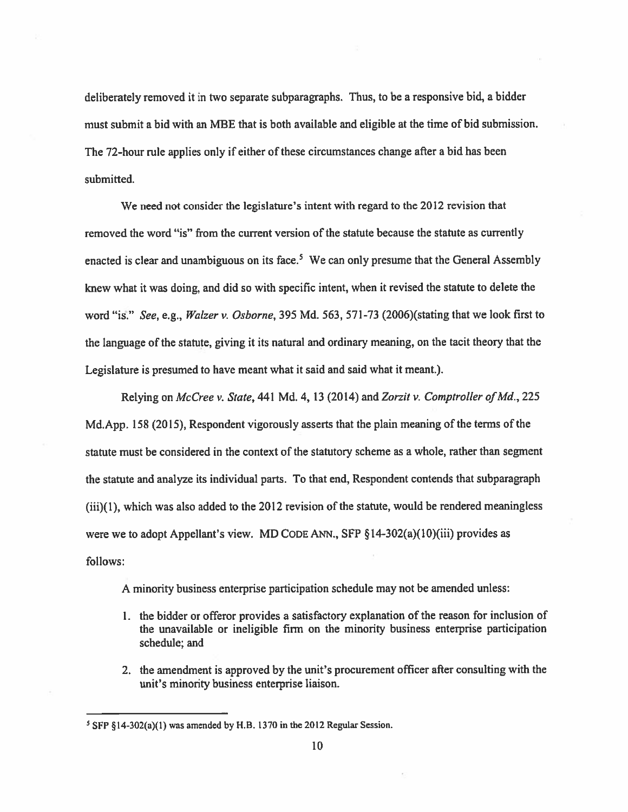deliberately removed it in two separate subparagraphs. Thus, to be <sup>a</sup> responsive bid, <sup>a</sup> bidder must submit <sup>a</sup> bid with an MBE that is both available and eligible at the time of bid submission. The 72-hour rule applies only if either of these circumstances change after <sup>a</sup> bid has been submitted.

We need not consider the legislature's intent with regard to the 2012 revision that removed the word "is" from the current version of the statute because the statute as currently enacted is clear and unambiguous on its face.<sup>5</sup> We can only presume that the General Assembly knew what it was doing, and did so with specific intent, when it revised the statute to delete the word "is." See, e.g., Waizer v. Osborne, 395 Md. 563, 57 1-73 (2006)(stating that we look first to the language of the statute, <sup>g</sup>iving it its natural and ordinary meaning, on the tacit theory that the Legislature is presumed to have meant what it said and said what it meant.).

Relying on McCree v. State, 441 Md. 4, 13 (2014) and Zorzit v. Comptroller of Md., 225 Md.App. <sup>158</sup> (2015), Respondent vigorously asserts that the <sup>p</sup>lain meaning of the terms of the statute must be considered in the context of the statutory scheme as <sup>a</sup> whole, rather than segmen<sup>t</sup> the statute and analyze its individual parts. To that end, Respondent contends that subparagraph (iii)(l), which was also added to the 2012 revision of the statute, would be rendered meaningless were we to adopt Appellant's view. MD CODE ANN., SFP  $\S$ 14-302(a)(10)(iii) provides as follows:

A minority business enterprise participation schedule may not be amended unless:

- 1. the bidder or offeror provides <sup>a</sup> satisfactory explanation of the reason for inclusion of the unavailable or ineligible firm on the minority business enterprise participation schedule; and
- 2. the amendment is approved by the unit's procuremen<sup>t</sup> officer after consulting with the unit's minority business enterprise liaison.

<sup>&</sup>lt;sup>5</sup> SFP §14-302(a)(1) was amended by H.B. 1370 in the 2012 Regular Session.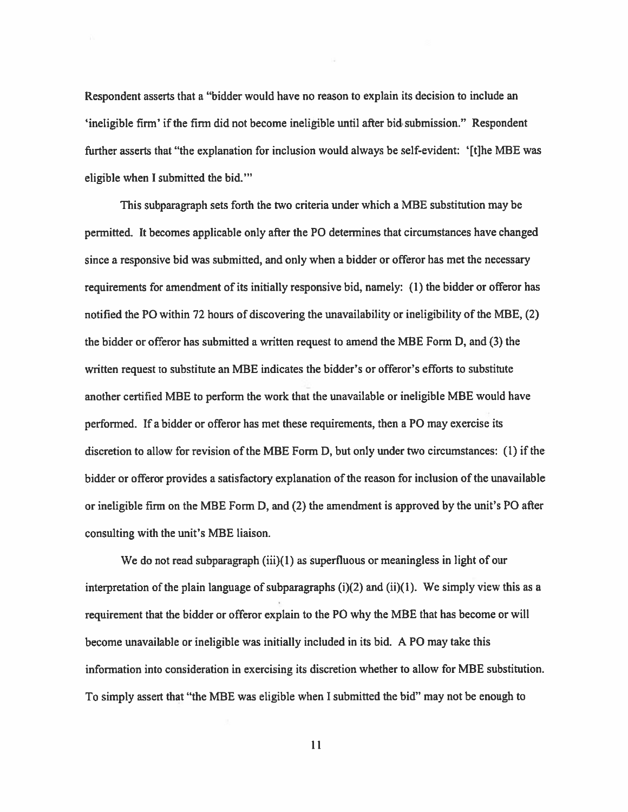Respondent asserts that <sup>a</sup> "bidder would have no reason to explain its decision to include an 'ineligible firm' if the firm did not become ineligible until after bid submission." Respondent further asserts that "the explanation for inclusion would always be self-evident: '[t]he MBE was eligible when I submitted the bid."'

This subparagraph sets forth the two criteria under which <sup>a</sup> MBE substitution may be permitted. It becomes applicable only after the P0 determines that circumstances have changed since <sup>a</sup> responsive bid was submitted, and only when <sup>a</sup> bidder or offeror has met the necessary requirements for amendment of its initially responsive bid, namely: (I) the bidder or offeror has notified the P0 within 72 hours of discovering the unavailability or ineligibility of the MBE, (2) the bidder or offeror has submitted <sup>a</sup> written reques<sup>t</sup> to amend the MBE Form D, and (3) the written reques<sup>t</sup> to substitute an MBE indicates the bidder's or offeror's efforts to substitute another certified MBE to perform the work that the unavailable or ineligible MBE would have performed. If <sup>a</sup> bidder or offeror has met these requirements, then <sup>a</sup> P0 may exercise its discretion to allow for revision of the MBE Form D, but only under two circumstances: (I) if the bidder or offeror provides <sup>a</sup> satisfactory explanation of the reason for inclusion of the unavailable or ineligible firm on the MBE Form D, and (2) the amendment is approved by the unit's P0 after consulting with the unit's MBE liaison.

We do not read subparagraph  $(iii)(1)$  as superfluous or meaningless in light of our interpretation of the plain language of subparagraphs  $(i)(2)$  and  $(ii)(1)$ . We simply view this as a requirement that the bidder or offeror explain to the P0 why the MBE that has become or will become unavailable or ineligible was initially included in its bid. A PO may take this information into consideration in exercising its discretion whether to allow for MBE substitution. To simply assert that "the MBE was eligible when <sup>I</sup> submitted the bid" may not be enough to

II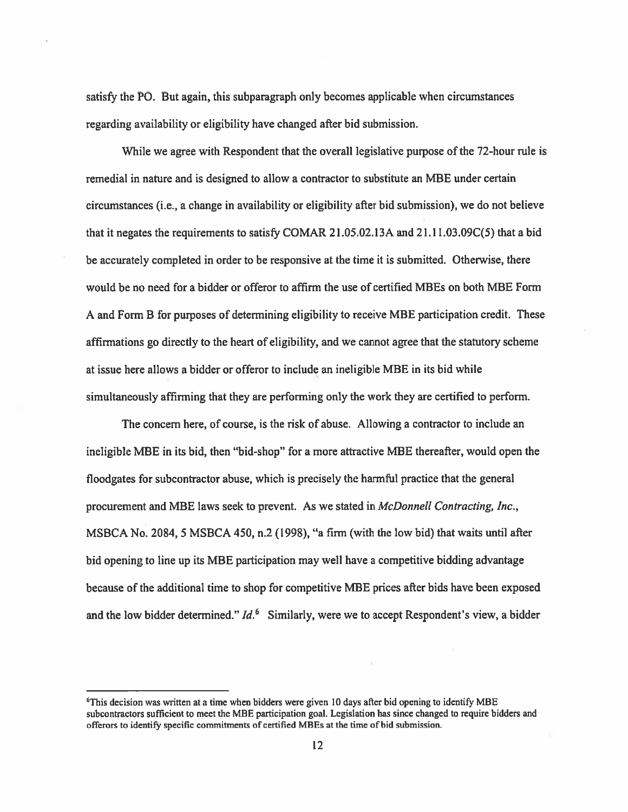satisfy the PO. But again, this subparagraph only becomes applicable when circumstances regarding availability or eligibility have changed after bid submission.

While we agree with Respondent that the overall legislative purpose of the 72-hour rule is remedial in nature and is designed to allow a contractor to substitute an MBE under certain circumstances (i.e., <sup>a</sup> change in availability or eligibility after bid submission), we do not believe that it negates the requirements to satisfy COMAR 21.05.02.13A and 21.11.03.09C(5) that a bid be accurately completed in order to be responsive at the time it is submitted. Otherwise, there would be no need for <sup>a</sup> bidder or offeror to affirm the use of certified MBEs on both MBE Form A and Form <sup>B</sup> for purposes of determining eligibility to receive MBE participation credit. These affirmations go directly to the heart of eligibility, and we cannot agree that the statutory scheme at issue here allows <sup>a</sup> bidder or offeror to include an ineligible MBE in its bid while simultaneously affirming that they are performing only the work they are certified to perform.

The concern here, of course, is the risk of abuse. Allowing <sup>a</sup> contractor to include an ineligible MBE in its bid, then "bid-shop" for <sup>a</sup> more attractive MBE thereafter, would open the floodgates for subcontractor abuse, which is precisely the harmful practice that the general procuremen<sup>t</sup> and MBE laws seek to prevent. As we stated in McDonnell Contracting, Inc., MSBCA No. 2084, 5 MSBCA 450, n.2 (1996), "a firm (with the low bid) that waits until after bid opening to line up its MBE participation may well have <sup>a</sup> competitive bidding advantage because of the additional time to shop for competitive MBE prices after bids have been exposed and the low bidder determined."  $Id<sup>6</sup>$  Similarly, were we to accept Respondent's view, a bidder

<sup>6</sup>This decision was written at <sup>a</sup> time when bidders were given 10 days after bid opening to identify MBE subcontractors sufficient to meet the MRE participation goal. Legislation has since changed to require bidders and offerors to identify specific commitments of certified MBEs at the time of bid submission.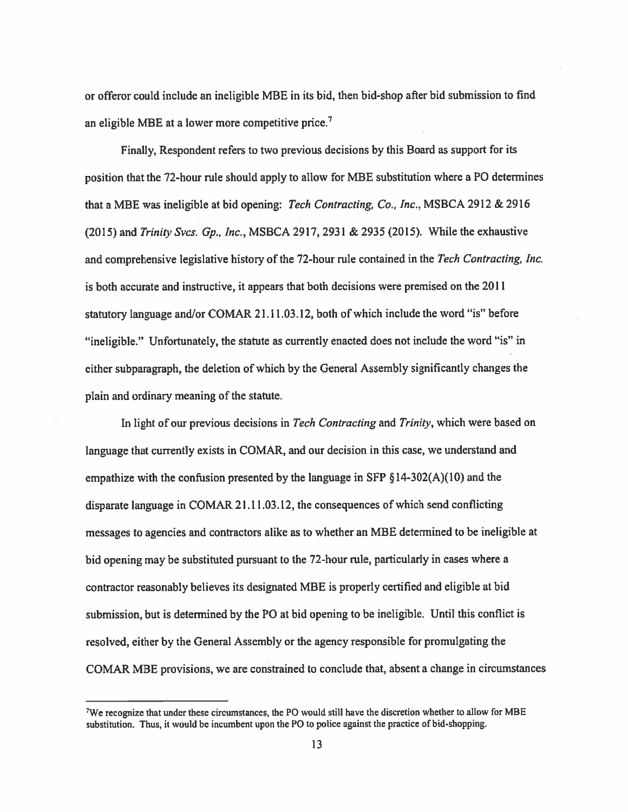or offeror could include an ineligible MBE in its bid, then bid-shop after bid submission to find an eligible MBE at a lower more competitive price.<sup>7</sup>

Finally, Respondent refers to two previous decisions by this Board as suppor<sup>t</sup> for its position that the 72-hour rule should apply to allow for MBE substitution where a PO determines that <sup>a</sup> MBE was ineligible at bid opening: Tech Contracting, Co., Inc., MSBCA 2912 & 2916 (2015) and Trinity Svcs. Gp., Inc., MSBCA 2917, 2931 & 2935 (2015). While the exhaustive and comprehensive legislative history of the 72-hour rule contained in the Tech Contracting, Inc. is both accurate and instructive, it appears that both decisions were premised on the 2011 statutory language and/or COMAR 21.11.03.12, both of which include the word "is" before "ineligible." Unfortunately, the statute as currently enacted does not include the word "is" in either subparagraph, the deletion of which by the General Assembly significantly changes the plain and ordinary meaning of the statute.

In light of our previous decisions in Tech Contracting and Trinity, which were based on language that currently exists in COMAR, and our decision in this case, we understand and empathize with the confusion presented by the language in SFP  $\S$ 14-302(A)(10) and the disparate language in COMAR 21.11.03.12, the consequences of which send conflicting messages to agencies and contractors alike as to whether an MBE determined to be ineligible at bid opening may be substituted pursuan<sup>t</sup> to the 72-hour rule, particularly in cases where <sup>a</sup> contractor reasonably believes its designated MBE is properly certified and eligible at bid submission, but is determined by the P0 at bid opening to be ineligible. Until this conflict is resolved, either by the General Assembly or the agency responsible for promulgating the COMAR MBE provisions, we are constrained to conclude that, absent <sup>a</sup> change in circumstances

<sup>7</sup>We recognize that under these circumstances, the P0 would still have the discretion whether to allow for MBE substitution. Thus, it would be incumbent upon the P0 to police against the practice of bid-shopping.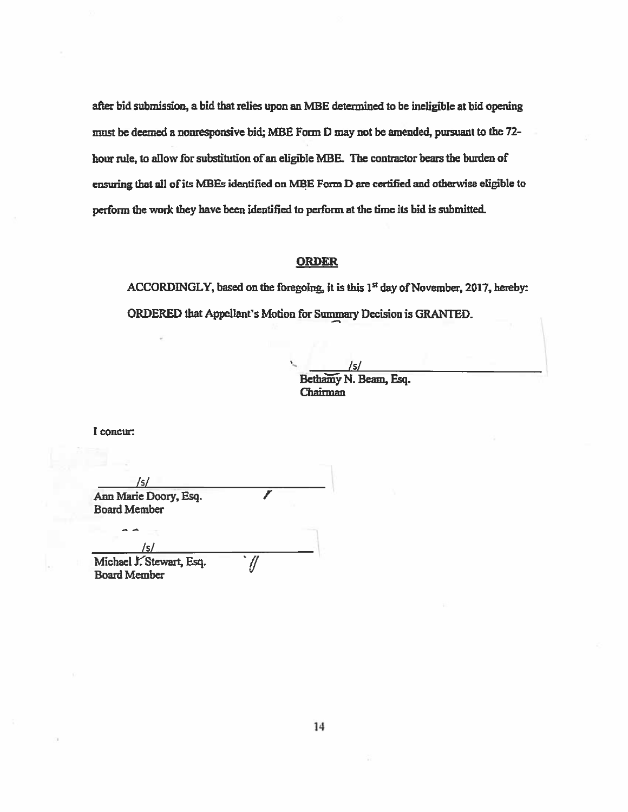after bid submission, <sup>a</sup> bid that relies upon an MEE determined to be ineligible at bid opening must be deemed <sup>a</sup> nonresponsive bid; MBE Form <sup>D</sup> may not be amended, pursuan<sup>t</sup> to the 72 hour rule, to allow for substitution of an eligible MBE. The contractor bears the burden of ensuring that all of its MBEs identified on MBE Form D are certified and otherwise eligible to perform the work they have been identified to perform at the time its bid is submitted.

## ORDER

ACCORDINGLY, based on the foregoing, it is this  $1<sup>st</sup>$  day of November, 2017, hereby: ORDERED that Appellant's Motion for Summary Decision is GRANTED.

/5/

Bethamy N. Beam, Esq. Chairman

I concur

Is' Ann Marie Doory, Esq. Board Member

/5/ Michael J. Stewart, Esq.  $\sqrt{2}$ Board Member